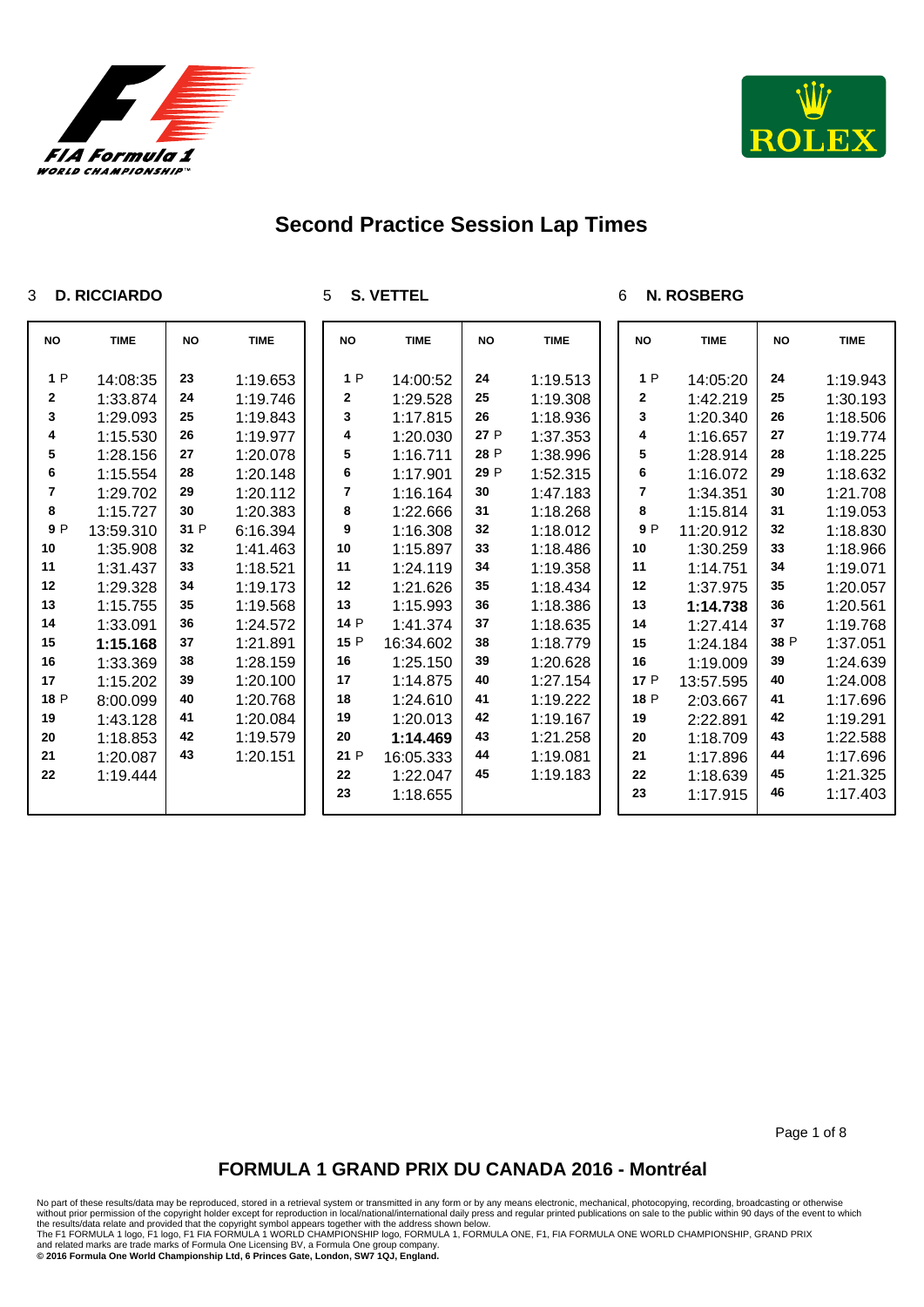



#### **D. RICCIARDO**

**S. VETTEL**

### **N. ROSBERG**

| <b>NO</b>   | <b>TIME</b>          | <b>NO</b> | <b>TIME</b>          | <b>NO</b> | <b>TIME</b>          | <b>NO</b> | <b>TIME</b>          | <b>NO</b> | <b>TIME</b>          | <b>NO</b> | <b>TIME</b>          |
|-------------|----------------------|-----------|----------------------|-----------|----------------------|-----------|----------------------|-----------|----------------------|-----------|----------------------|
| 1P          |                      | 23        |                      | 1P        |                      | 24        |                      | 1P        |                      | 24        |                      |
| $\mathbf 2$ | 14:08:35<br>1:33.874 | 24        | 1:19.653             | 2         | 14:00:52             | 25        | 1:19.513<br>1:19.308 | 2         | 14:05:20             | 25        | 1:19.943<br>1:30.193 |
| 3           | 1:29.093             | 25        | 1:19.746<br>1:19.843 | 3         | 1:29.528<br>1:17.815 | 26        |                      | 3         | 1:42.219<br>1:20.340 | 26        |                      |
| 4           | 1:15.530             | 26        | 1:19.977             | 4         | 1:20.030             | 27 P      | 1:18.936<br>1:37.353 | 4         | 1:16.657             | 27        | 1:18.506<br>1:19.774 |
| 5           |                      | 27        | 1:20.078             | 5         |                      | 28 P      | 1:38.996             | 5         |                      | 28        |                      |
| 6           | 1:28.156<br>1:15.554 | 28        | 1:20.148             | 6         | 1:16.711<br>1:17.901 | 29 P      | 1:52.315             | 6         | 1:28.914<br>1:16.072 | 29        | 1:18.225<br>1:18.632 |
| 7           |                      | 29        | 1:20.112             | 7         |                      | 30        | 1:47.183             | 7         |                      | 30        | 1:21.708             |
| 8           | 1:29.702<br>1:15.727 | 30        | 1:20.383             | 8         | 1:16.164<br>1:22.666 | 31        | 1:18.268             | 8         | 1:34.351<br>1:15.814 | 31        | 1:19.053             |
| 9P          | 13:59.310            | 31 P      | 6:16.394             | 9         | 1:16.308             | 32        | 1:18.012             | 9P        | 11:20.912            | 32        | 1:18.830             |
| 10          |                      | 32        |                      | 10        |                      | 33        |                      | 10        |                      | 33        |                      |
| 11          | 1:35.908             |           | 1:41.463             | 11        | 1:15.897             | 34        | 1:18.486             | 11        | 1:30.259             | 34        | 1:18.966             |
| 12          | 1:31.437             | 33        | 1:18.521             | 12        | 1:24.119             | 35        | 1:19.358             | 12        | 1:14.751             | 35        | 1:19.071             |
|             | 1:29.328             | 34        | 1:19.173             |           | 1:21.626             |           | 1:18.434             |           | 1:37.975             |           | 1:20.057             |
| 13          | 1:15.755             | 35        | 1:19.568             | 13        | 1:15.993             | 36        | 1:18.386             | 13        | 1:14.738             | 36        | 1:20.561             |
| 14          | 1:33.091             | 36        | 1:24.572             | 14 P      | 1:41.374             | 37        | 1:18.635             | 14        | 1:27.414             | 37        | 1:19.768             |
| 15          | 1:15.168             | 37        | 1:21.891             | 15 P      | 16:34.602            | 38        | 1:18.779             | 15        | 1:24.184             | 38 P      | 1:37.051             |
| $16\,$      | 1:33.369             | 38        | 1:28.159             | 16        | 1:25.150             | 39        | 1:20.628             | 16        | 1:19.009             | 39        | 1:24.639             |
| 17          | 1:15.202             | 39        | 1:20.100             | 17        | 1:14.875             | 40        | 1:27.154             | 17 P      | 13:57.595            | 40        | 1:24.008             |
| 18 P        | 8:00.099             | 40        | 1:20.768             | 18        | 1:24.610             | 41        | 1:19.222             | 18 P      | 2:03.667             | 41        | 1:17.696             |
| 19          | 1:43.128             | 41        | 1:20.084             | 19        | 1:20.013             | 42        | 1:19.167             | 19        | 2:22.891             | 42        | 1:19.291             |
| 20          | 1:18.853             | 42        | 1:19.579             | 20        | 1:14.469             | 43        | 1:21.258             | 20        | 1:18.709             | 43        | 1:22.588             |
| 21          | 1:20.087             | 43        | 1:20.151             | 21 P      | 16:05.333            | 44        | 1:19.081             | 21        | 1:17.896             | 44        | 1:17.696             |
| 22          | 1:19.444             |           |                      | 22        | 1:22.047             | 45        | 1:19.183             | 22        | 1:18.639             | 45        | 1:21.325             |
|             |                      |           |                      | 23        | 1:18.655             |           |                      | 23        | 1:17.915             | 46        | 1:17.403             |

Page 1 of 8

## **FORMULA 1 GRAND PRIX DU CANADA 2016 - Montréal**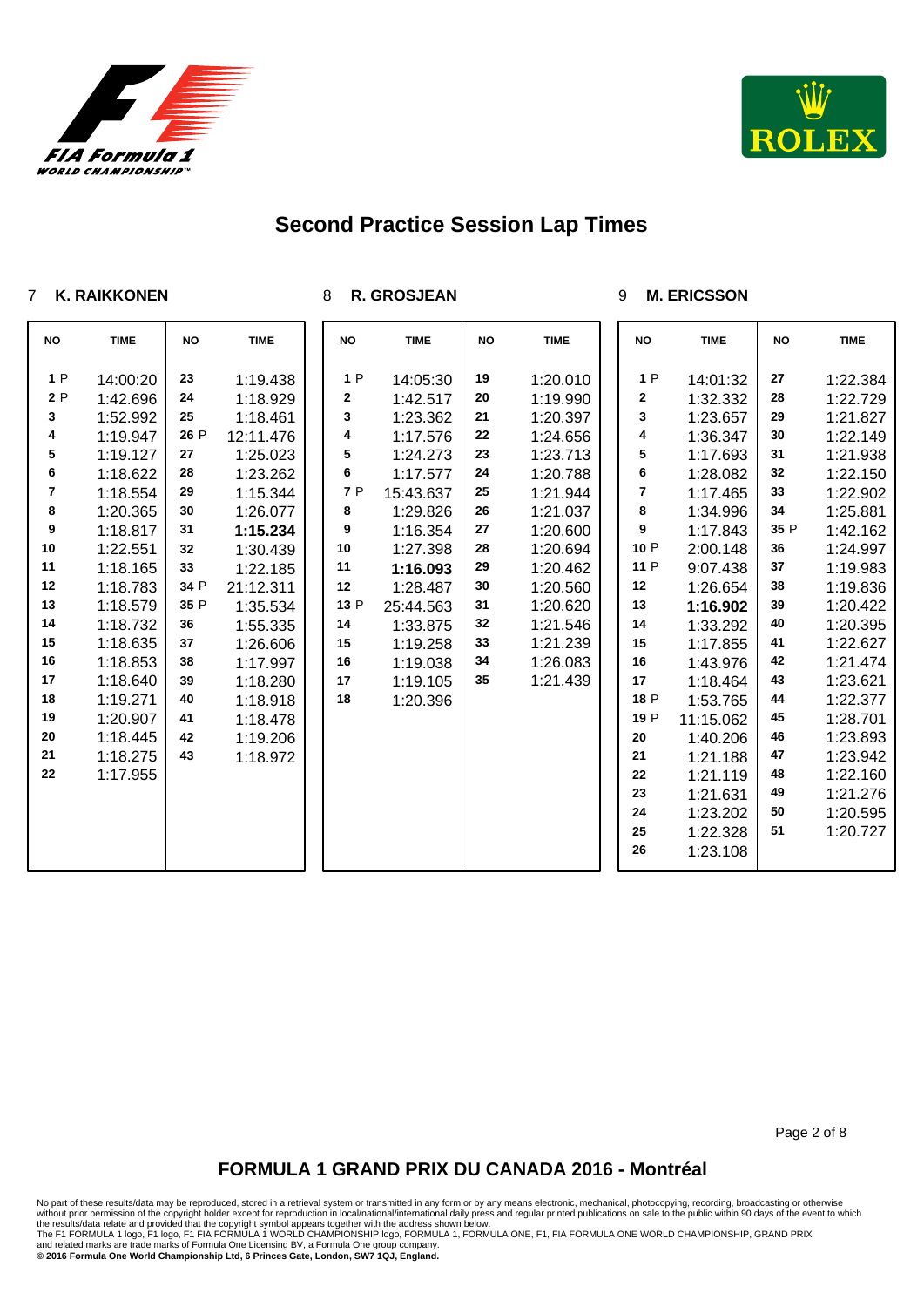



### **K. RAIKKONEN**

**R. GROSJEAN**

#### **M. ERICSSON**

| <b>NO</b>  | <b>TIME</b> | <b>NO</b> | <b>TIME</b> | <b>NO</b> | <b>TIME</b> | <b>NO</b> | <b>TIME</b> | <b>NO</b> | <b>TIME</b> | <b>NO</b> | <b>TIME</b> |
|------------|-------------|-----------|-------------|-----------|-------------|-----------|-------------|-----------|-------------|-----------|-------------|
| 1P         | 14:00:20    | 23        | 1:19.438    | 1P        | 14:05:30    | 19        | 1:20.010    | 1P        | 14:01:32    | 27        | 1:22.384    |
| 2P         | 1:42.696    | 24        | 1:18.929    | 2         | 1:42.517    | 20        | 1:19.990    | 2         | 1:32.332    | 28        | 1:22.729    |
| 3          | 1:52.992    | 25        | 1:18.461    | 3         | 1:23.362    | 21        | 1:20.397    | 3         | 1:23.657    | 29        | 1:21.827    |
| 4          | 1:19.947    | 26 P      | 12:11.476   | 4         | 1:17.576    | 22        | 1:24.656    | 4         | 1:36.347    | 30        | 1:22.149    |
| 5          | 1:19.127    | 27        | 1:25.023    | 5         | 1:24.273    | 23        | 1:23.713    | 5         | 1:17.693    | 31        | 1:21.938    |
| 6          | 1:18.622    | 28        | 1:23.262    | 6         | 1:17.577    | 24        | 1:20.788    | 6         | 1:28.082    | 32        | 1:22.150    |
| 7          | 1:18.554    | 29        | 1:15.344    | 7 P       | 15:43.637   | 25        | 1:21.944    | 7         | 1:17.465    | 33        | 1:22.902    |
| 8          | 1:20.365    | 30        | 1:26.077    | 8         | 1:29.826    | 26        | 1:21.037    | 8         | 1:34.996    | 34        | 1:25.881    |
| 9          | 1:18.817    | 31        | 1:15.234    | 9         | 1:16.354    | 27        | 1:20.600    | 9         | 1:17.843    | 35 P      | 1:42.162    |
| $10\,$     | 1:22.551    | 32        | 1:30.439    | 10        | 1:27.398    | 28        | 1:20.694    | 10 P      | 2:00.148    | 36        | 1:24.997    |
| 11         | 1:18.165    | 33        | 1:22.185    | 11        | 1:16.093    | 29        | 1:20.462    | 11 P      | 9:07.438    | $37\,$    | 1:19.983    |
| 12         | 1:18.783    | 34 P      | 21:12.311   | 12        | 1:28.487    | 30        | 1:20.560    | 12        | 1:26.654    | 38        | 1:19.836    |
| 13         | 1:18.579    | 35 P      | 1:35.534    | 13 P      | 25:44.563   | 31        | 1:20.620    | 13        | 1:16.902    | 39        | 1:20.422    |
| 14         | 1:18.732    | 36        | 1:55.335    | 14        | 1:33.875    | 32        | 1:21.546    | 14        | 1:33.292    | 40        | 1:20.395    |
| 15         | 1:18.635    | 37        | 1:26.606    | 15        | 1:19.258    | 33        | 1:21.239    | 15        | 1:17.855    | 41        | 1:22.627    |
| $16\,$     | 1:18.853    | 38        | 1:17.997    | 16        | 1:19.038    | 34        | 1:26.083    | 16        | 1:43.976    | 42        | 1:21.474    |
| $17\,$     | 1:18.640    | 39        | 1:18.280    | 17        | 1:19.105    | 35        | 1:21.439    | 17        | 1:18.464    | 43        | 1:23.621    |
| 18         | 1:19.271    | 40        | 1:18.918    | 18        | 1:20.396    |           |             | 18 P      | 1:53.765    | 44        | 1:22.377    |
| 19         | 1:20.907    | 41        | 1:18.478    |           |             |           |             | 19 P      | 11:15.062   | 45        | 1:28.701    |
| ${\bf 20}$ | 1:18.445    | 42        | 1:19.206    |           |             |           |             | 20        | 1:40.206    | 46        | 1:23.893    |
| 21         | 1:18.275    | 43        | 1:18.972    |           |             |           |             | 21        | 1:21.188    | 47        | 1:23.942    |
| 22         | 1:17.955    |           |             |           |             |           |             | 22        | 1:21.119    | 48        | 1:22.160    |
|            |             |           |             |           |             |           |             | 23        | 1:21.631    | 49        | 1:21.276    |
|            |             |           |             |           |             |           |             | 24        | 1:23.202    | 50        | 1:20.595    |
|            |             |           |             |           |             |           |             | 25        | 1:22.328    | 51        | 1:20.727    |
|            |             |           |             |           |             |           |             | 26        | 1:23.108    |           |             |

Page 2 of 8

## **FORMULA 1 GRAND PRIX DU CANADA 2016 - Montréal**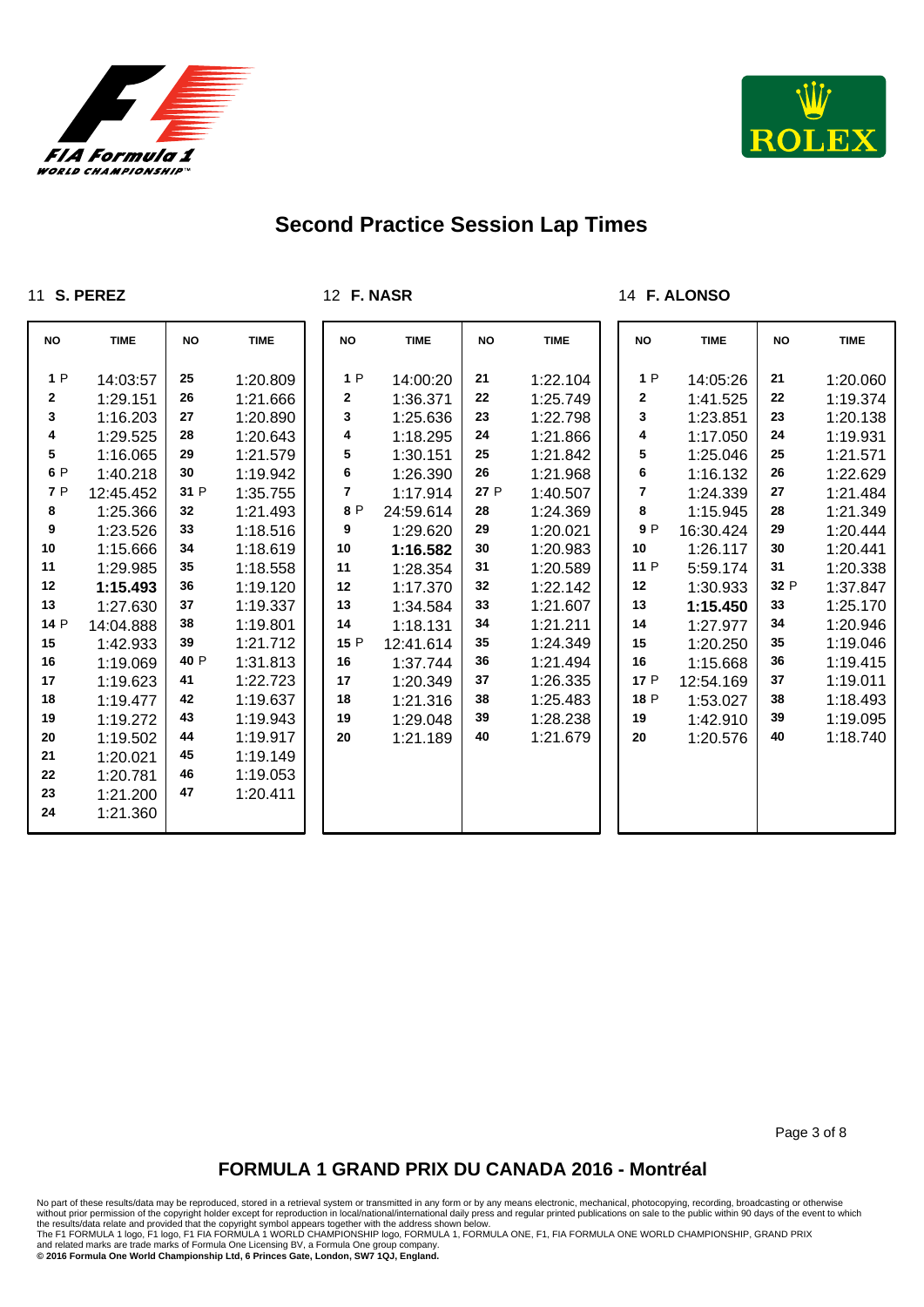



### **S. PEREZ**

**F. NASR**

### **F. ALONSO**

| <b>NO</b>    | <b>TIME</b> | <b>NO</b> | <b>TIME</b> | <b>NO</b>      | <b>TIME</b> | <b>NO</b> | <b>TIME</b> | <b>NO</b> | <b>TIME</b> | <b>NO</b> | <b>TIME</b> |
|--------------|-------------|-----------|-------------|----------------|-------------|-----------|-------------|-----------|-------------|-----------|-------------|
| 1P           | 14:03:57    | 25        | 1:20.809    | 1P             | 14:00:20    | 21        | 1:22.104    | 1P        | 14:05:26    | 21        | 1:20.060    |
| $\mathbf{2}$ | 1:29.151    | 26        | 1:21.666    | $\mathbf 2$    | 1:36.371    | 22        | 1:25.749    | 2         | 1:41.525    | 22        | 1:19.374    |
| 3            | 1:16.203    | 27        | 1:20.890    | 3              | 1:25.636    | 23        | 1:22.798    | 3         | 1:23.851    | 23        | 1:20.138    |
| 4            | 1:29.525    | 28        | 1:20.643    | 4              | 1:18.295    | 24        | 1:21.866    | 4         | 1:17.050    | 24        | 1:19.931    |
| 5            | 1:16.065    | 29        | 1:21.579    | 5              | 1:30.151    | 25        | 1:21.842    | 5         | 1:25.046    | 25        | 1:21.571    |
| 6 P          | 1:40.218    | 30        | 1:19.942    | 6              | 1:26.390    | 26        | 1:21.968    | 6         | 1:16.132    | 26        | 1:22.629    |
| 7 P          | 12:45.452   | 31 P      | 1:35.755    | $\overline{7}$ | 1:17.914    | 27 P      | 1:40.507    | 7         | 1:24.339    | 27        | 1:21.484    |
| 8            | 1:25.366    | 32        | 1:21.493    | 8 P            | 24:59.614   | 28        | 1:24.369    | 8         | 1:15.945    | 28        | 1:21.349    |
| 9            | 1:23.526    | 33        | 1:18.516    | 9              | 1:29.620    | 29        | 1:20.021    | 9 P       | 16:30.424   | 29        | 1:20.444    |
| 10           | 1:15.666    | 34        | 1:18.619    | 10             | 1:16.582    | 30        | 1:20.983    | 10        | 1:26.117    | 30        | 1:20.441    |
| 11           | 1:29.985    | 35        | 1:18.558    | 11             | 1:28.354    | 31        | 1:20.589    | 11 P      | 5:59.174    | 31        | 1:20.338    |
| 12           | 1:15.493    | 36        | 1:19.120    | 12             | 1:17.370    | 32        | 1:22.142    | 12        | 1:30.933    | 32 P      | 1:37.847    |
| 13           | 1:27.630    | 37        | 1:19.337    | 13             | 1:34.584    | 33        | 1:21.607    | 13        | 1:15.450    | 33        | 1:25.170    |
| 14 P         | 14:04.888   | 38        | 1:19.801    | 14             | 1:18.131    | 34        | 1:21.211    | 14        | 1:27.977    | 34        | 1:20.946    |
| 15           | 1:42.933    | 39        | 1:21.712    | 15 P           | 12:41.614   | 35        | 1:24.349    | 15        | 1:20.250    | 35        | 1:19.046    |
| 16           | 1:19.069    | 40 P      | 1:31.813    | 16             | 1:37.744    | 36        | 1:21.494    | 16        | 1:15.668    | 36        | 1:19.415    |
| 17           | 1:19.623    | 41        | 1:22.723    | 17             | 1:20.349    | 37        | 1:26.335    | 17 P      | 12:54.169   | 37        | 1:19.011    |
| 18           | 1:19.477    | 42        | 1:19.637    | 18             | 1:21.316    | 38        | 1:25.483    | 18 P      | 1:53.027    | 38        | 1:18.493    |
| 19           | 1:19.272    | 43        | 1:19.943    | 19             | 1:29.048    | 39        | 1:28.238    | 19        | 1:42.910    | 39        | 1:19.095    |
| 20           | 1:19.502    | 44        | 1:19.917    | 20             | 1:21.189    | 40        | 1:21.679    | 20        | 1:20.576    | 40        | 1:18.740    |
| 21           | 1:20.021    | 45        | 1:19.149    |                |             |           |             |           |             |           |             |
| 22           | 1:20.781    | 46        | 1:19.053    |                |             |           |             |           |             |           |             |
| 23           | 1:21.200    | 47        | 1:20.411    |                |             |           |             |           |             |           |             |
| 24           | 1:21.360    |           |             |                |             |           |             |           |             |           |             |

Page 3 of 8

## **FORMULA 1 GRAND PRIX DU CANADA 2016 - Montréal**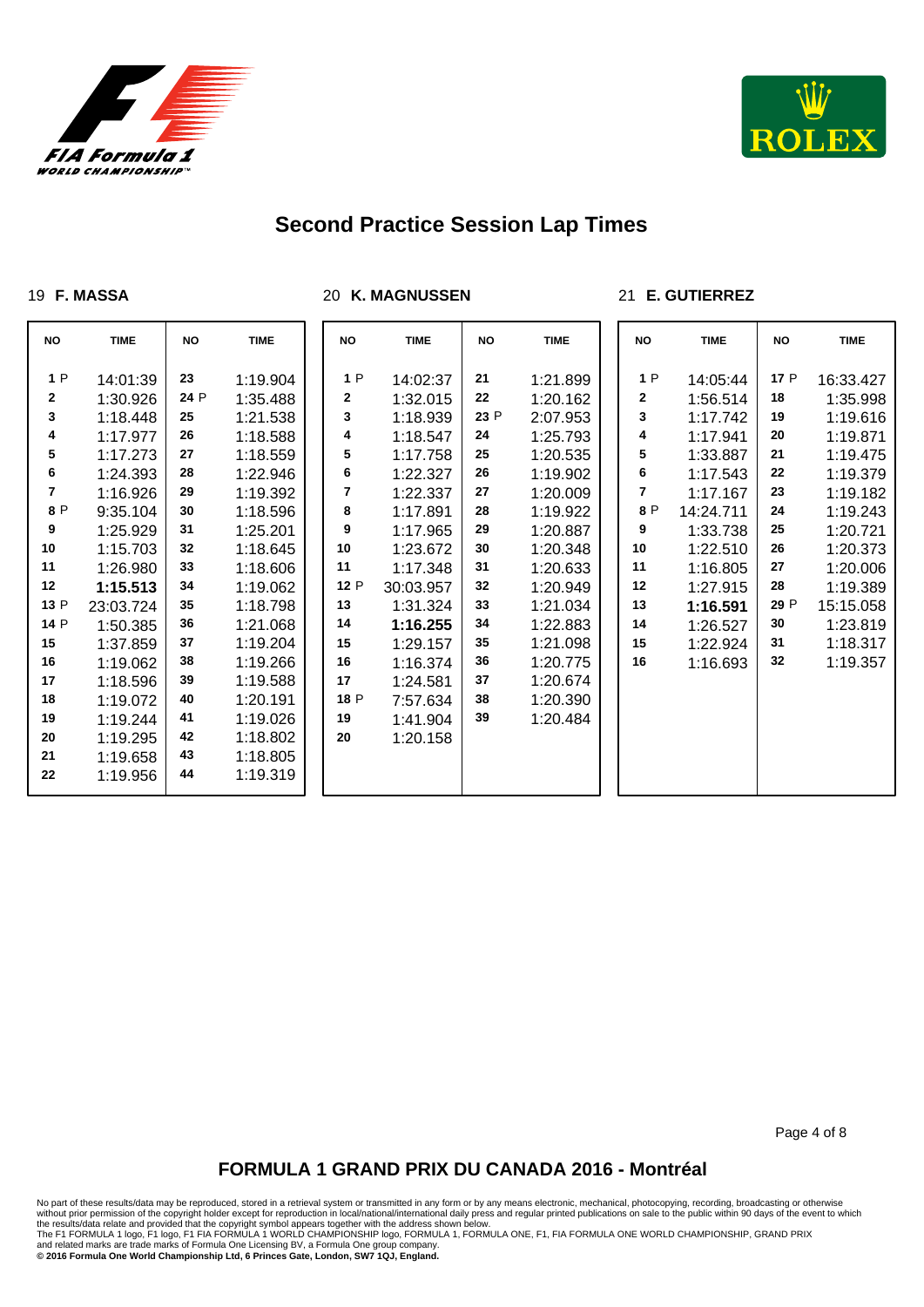



#### **F. MASSA**

**K. MAGNUSSEN**

### **E. GUTIERREZ**

| <b>NO</b>    | <b>TIME</b> | <b>NO</b> | <b>TIME</b> | <b>NO</b> | <b>TIME</b> | <b>NO</b> | <b>TIME</b> | <b>NO</b> | <b>TIME</b> | <b>NO</b> | <b>TIME</b> |
|--------------|-------------|-----------|-------------|-----------|-------------|-----------|-------------|-----------|-------------|-----------|-------------|
| 1P           | 14:01:39    | 23        | 1:19.904    | 1P        | 14:02:37    | 21        | 1:21.899    | 1P        | 14:05:44    | 17 P      | 16:33.427   |
| $\mathbf{2}$ | 1:30.926    | 24 P      | 1:35.488    | 2         | 1:32.015    | 22        | 1:20.162    | 2         | 1:56.514    | 18        | 1:35.998    |
| 3            | 1:18.448    | 25        | 1:21.538    | 3         | 1:18.939    | 23 P      | 2:07.953    | 3         | 1:17.742    | 19        | 1:19.616    |
| 4            | 1:17.977    | 26        | 1:18.588    | 4         | 1:18.547    | 24        | 1:25.793    | 4         | 1:17.941    | 20        | 1:19.871    |
| 5            | 1:17.273    | 27        | 1:18.559    | 5         | 1:17.758    | 25        | 1:20.535    | 5         | 1:33.887    | 21        | 1:19.475    |
| 6            | 1:24.393    | 28        | 1:22.946    | 6         | 1:22.327    | 26        | 1:19.902    | 6         | 1:17.543    | 22        | 1:19.379    |
| 7            | 1:16.926    | 29        | 1:19.392    | 7         | 1:22.337    | 27        | 1:20.009    | 7         | 1:17.167    | 23        | 1:19.182    |
| 8 P          | 9:35.104    | 30        | 1:18.596    | 8         | 1:17.891    | 28        | 1:19.922    | 8 P       | 14:24.711   | 24        | 1:19.243    |
| 9            | 1:25.929    | 31        | 1:25.201    | 9         | 1:17.965    | 29        | 1:20.887    | 9         | 1:33.738    | 25        | 1:20.721    |
| 10           | 1:15.703    | 32        | 1:18.645    | 10        | 1:23.672    | 30        | 1:20.348    | 10        | 1:22.510    | 26        | 1:20.373    |
| 11           | 1:26.980    | 33        | 1:18.606    | 11        | 1:17.348    | 31        | 1:20.633    | 11        | 1:16.805    | 27        | 1:20.006    |
| 12           | 1:15.513    | 34        | 1:19.062    | 12 P      | 30:03.957   | 32        | 1:20.949    | 12        | 1:27.915    | 28        | 1:19.389    |
| 13 P         | 23:03.724   | 35        | 1:18.798    | 13        | 1:31.324    | 33        | 1:21.034    | 13        | 1:16.591    | 29 P      | 15:15.058   |
| 14 P         | 1:50.385    | 36        | 1:21.068    | 14        | 1:16.255    | 34        | 1:22.883    | 14        | 1:26.527    | 30        | 1:23.819    |
| 15           | 1:37.859    | 37        | 1:19.204    | 15        | 1:29.157    | 35        | 1:21.098    | 15        | 1:22.924    | 31        | 1:18.317    |
| 16           | 1:19.062    | 38        | 1:19.266    | 16        | 1:16.374    | 36        | 1:20.775    | 16        | 1:16.693    | 32        | 1:19.357    |
| 17           | 1:18.596    | 39        | 1:19.588    | 17        | 1:24.581    | 37        | 1:20.674    |           |             |           |             |
| 18           | 1:19.072    | 40        | 1:20.191    | 18 P      | 7:57.634    | 38        | 1:20.390    |           |             |           |             |
| 19           | 1:19.244    | 41        | 1:19.026    | 19        | 1:41.904    | 39        | 1:20.484    |           |             |           |             |
| 20           | 1:19.295    | 42        | 1:18.802    | 20        | 1:20.158    |           |             |           |             |           |             |
| 21           | 1:19.658    | 43        | 1:18.805    |           |             |           |             |           |             |           |             |
| 22           | 1:19.956    | 44        | 1:19.319    |           |             |           |             |           |             |           |             |

Page 4 of 8

## **FORMULA 1 GRAND PRIX DU CANADA 2016 - Montréal**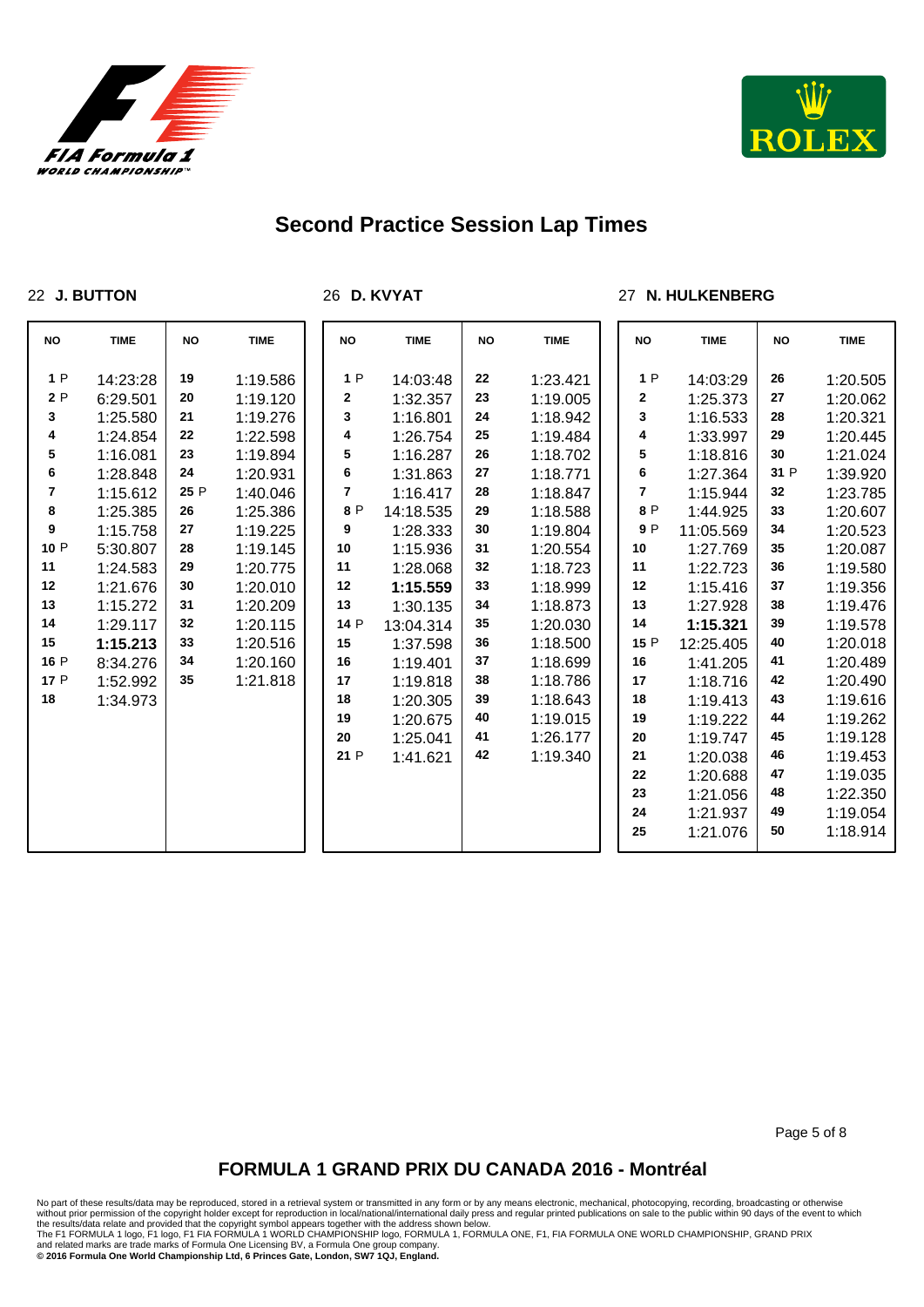



### **J. BUTTON**

**D. KVYAT**

### **N. HULKENBERG**

| <b>NO</b> | <b>TIME</b> | <b>NO</b> | <b>TIME</b> | <b>NO</b> | <b>TIME</b> | <b>NO</b> | <b>TIME</b> | <b>NO</b> | <b>TIME</b> | <b>NO</b> | <b>TIME</b> |
|-----------|-------------|-----------|-------------|-----------|-------------|-----------|-------------|-----------|-------------|-----------|-------------|
| 1P        | 14:23:28    | 19        | 1:19.586    | 1P        | 14:03:48    | 22        | 1:23.421    | 1P        | 14:03:29    | 26        | 1:20.505    |
| 2P        | 6:29.501    | 20        | 1:19.120    | 2         | 1:32.357    | 23        | 1:19.005    | 2         | 1:25.373    | 27        | 1:20.062    |
| 3         | 1:25.580    | 21        | 1:19.276    | 3         | 1:16.801    | 24        | 1:18.942    | 3         | 1:16.533    | 28        | 1:20.321    |
| 4         | 1:24.854    | 22        | 1:22.598    | 4         | 1:26.754    | 25        | 1:19.484    | 4         | 1:33.997    | 29        | 1:20.445    |
| 5         | 1:16.081    | 23        | 1:19.894    | 5         | 1:16.287    | 26        | 1:18.702    | 5         | 1:18.816    | 30        | 1:21.024    |
| 6         | 1:28.848    | 24        | 1:20.931    | 6         | 1:31.863    | 27        | 1:18.771    | 6         | 1:27.364    | 31 P      | 1:39.920    |
| 7         | 1:15.612    | 25 P      | 1:40.046    | 7         | 1:16.417    | 28        | 1:18.847    | 7         | 1:15.944    | 32        | 1:23.785    |
| 8         | 1:25.385    | 26        | 1:25.386    | 8 P       | 14:18.535   | 29        | 1:18.588    | 8 P       | 1:44.925    | 33        | 1:20.607    |
| 9         | 1:15.758    | 27        | 1:19.225    | 9         | 1:28.333    | 30        | 1:19.804    | 9 P       | 11:05.569   | 34        | 1:20.523    |
| 10P       | 5:30.807    | 28        | 1:19.145    | 10        | 1:15.936    | 31        | 1:20.554    | 10        | 1:27.769    | 35        | 1:20.087    |
| 11        | 1:24.583    | 29        | 1:20.775    | 11        | 1:28.068    | 32        | 1:18.723    | 11        | 1:22.723    | 36        | 1:19.580    |
| 12        | 1:21.676    | 30        | 1:20.010    | 12        | 1:15.559    | 33        | 1:18.999    | 12        | 1:15.416    | 37        | 1:19.356    |
| 13        | 1:15.272    | 31        | 1:20.209    | 13        | 1:30.135    | 34        | 1:18.873    | 13        | 1:27.928    | 38        | 1:19.476    |
| 14        | 1:29.117    | 32        | 1:20.115    | 14 P      | 13:04.314   | 35        | 1:20.030    | 14        | 1:15.321    | 39        | 1:19.578    |
| 15        | 1:15.213    | 33        | 1:20.516    | 15        | 1:37.598    | 36        | 1:18.500    | 15 P      | 12:25.405   | 40        | 1:20.018    |
| 16 P      | 8:34.276    | 34        | 1:20.160    | 16        | 1:19.401    | 37        | 1:18.699    | 16        | 1:41.205    | 41        | 1:20.489    |
| 17 P      | 1:52.992    | 35        | 1:21.818    | 17        | 1:19.818    | 38        | 1:18.786    | 17        | 1:18.716    | 42        | 1:20.490    |
| 18        | 1:34.973    |           |             | 18        | 1:20.305    | 39        | 1:18.643    | 18        | 1:19.413    | 43        | 1:19.616    |
|           |             |           |             | 19        | 1:20.675    | 40        | 1:19.015    | 19        | 1:19.222    | 44        | 1:19.262    |
|           |             |           |             | 20        | 1:25.041    | 41        | 1:26.177    | 20        | 1:19.747    | 45        | 1:19.128    |
|           |             |           |             | 21 P      | 1:41.621    | 42        | 1:19.340    | 21        | 1:20.038    | 46        | 1:19.453    |
|           |             |           |             |           |             |           |             | 22        | 1:20.688    | 47        | 1:19.035    |
|           |             |           |             |           |             |           |             | 23        | 1:21.056    | 48        | 1:22.350    |
|           |             |           |             |           |             |           |             | 24        | 1:21.937    | 49        | 1:19.054    |
|           |             |           |             |           |             |           |             | 25        | 1:21.076    | 50        | 1:18.914    |

Page 5 of 8

## **FORMULA 1 GRAND PRIX DU CANADA 2016 - Montréal**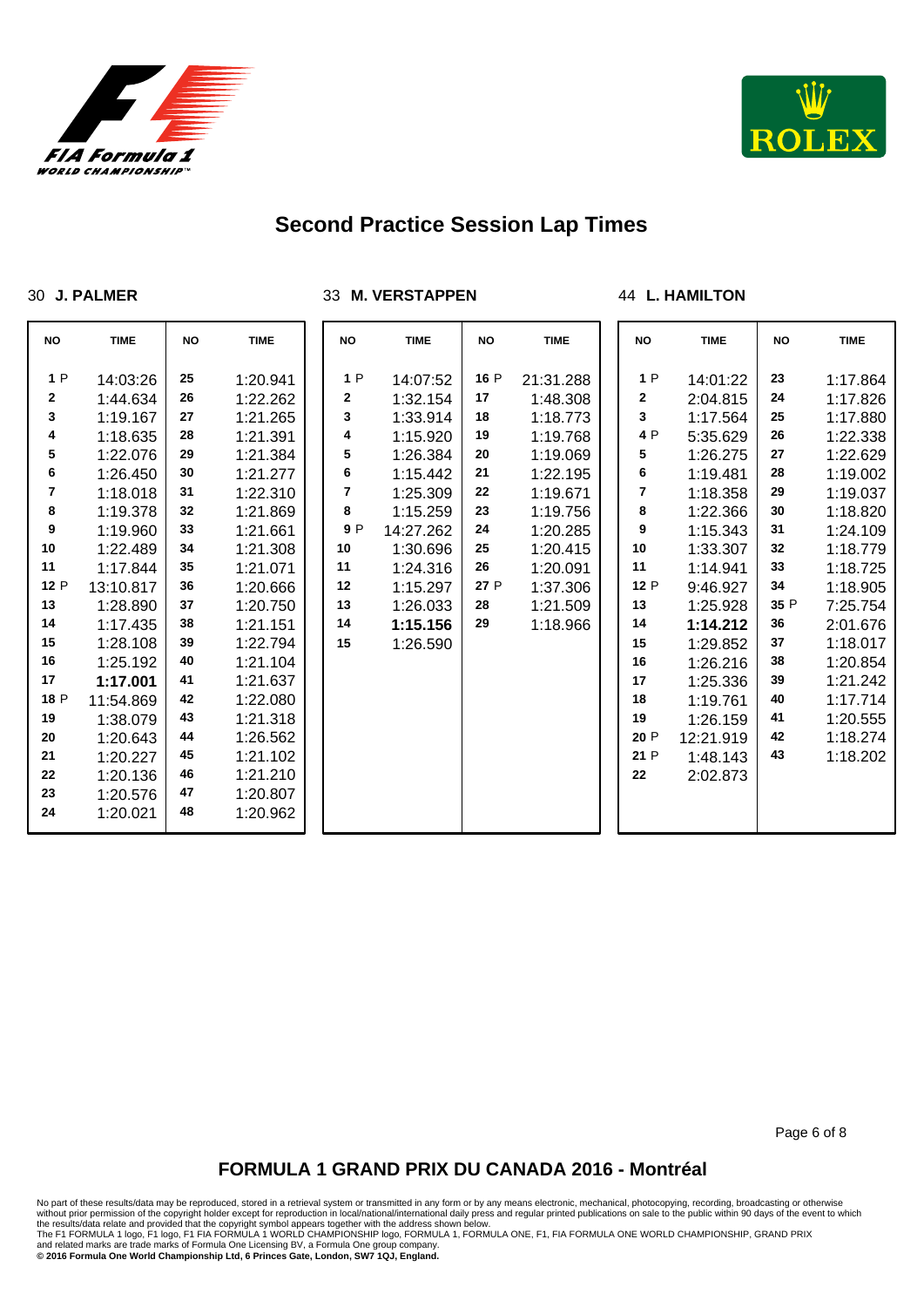



#### **J. PALMER**

**M. VERSTAPPEN**

#### **L. HAMILTON**

| <b>NO</b>      | <b>TIME</b> | <b>NO</b> | <b>TIME</b> | <b>NO</b>      | <b>TIME</b> | <b>NO</b> | <b>TIME</b> | <b>NO</b>      | <b>TIME</b> | <b>NO</b> | <b>TIME</b> |
|----------------|-------------|-----------|-------------|----------------|-------------|-----------|-------------|----------------|-------------|-----------|-------------|
|                |             |           |             |                |             |           |             |                |             |           |             |
| 1P             | 14:03:26    | 25        | 1:20.941    | 1P             | 14:07:52    | 16 P      | 21:31.288   | 1P             | 14:01:22    | 23        | 1:17.864    |
| 2              | 1:44.634    | 26        | 1:22.262    | 2              | 1:32.154    | 17        | 1:48.308    | 2              | 2:04.815    | 24        | 1:17.826    |
| 3              | 1:19.167    | 27        | 1:21.265    | 3              | 1:33.914    | 18        | 1:18.773    | 3              | 1:17.564    | 25        | 1:17.880    |
| 4              | 1:18.635    | 28        | 1:21.391    | 4              | 1:15.920    | 19        | 1:19.768    | 4 P            | 5:35.629    | 26        | 1:22.338    |
| 5              | 1:22.076    | 29        | 1:21.384    | 5              | 1:26.384    | 20        | 1:19.069    | 5              | 1:26.275    | 27        | 1:22.629    |
| 6              | 1:26.450    | 30        | 1:21.277    | 6              | 1:15.442    | 21        | 1:22.195    | 6              | 1:19.481    | 28        | 1:19.002    |
| $\overline{7}$ | 1:18.018    | 31        | 1:22.310    | $\overline{7}$ | 1:25.309    | 22        | 1:19.671    | $\overline{7}$ | 1:18.358    | 29        | 1:19.037    |
| 8              | 1:19.378    | 32        | 1:21.869    | 8              | 1:15.259    | 23        | 1:19.756    | 8              | 1:22.366    | 30        | 1:18.820    |
| 9              | 1:19.960    | 33        | 1:21.661    | 9P             | 14:27.262   | 24        | 1:20.285    | 9              | 1:15.343    | 31        | 1:24.109    |
| 10             | 1:22.489    | 34        | 1:21.308    | 10             | 1:30.696    | 25        | 1:20.415    | 10             | 1:33.307    | 32        | 1:18.779    |
| 11             | 1:17.844    | 35        | 1:21.071    | 11             | 1:24.316    | 26        | 1:20.091    | 11             | 1:14.941    | 33        | 1:18.725    |
| 12 P           | 13:10.817   | 36        | 1:20.666    | 12             | 1:15.297    | 27 P      | 1:37.306    | 12 P           | 9:46.927    | 34        | 1:18.905    |
| 13             | 1:28.890    | 37        | 1:20.750    | 13             | 1:26.033    | 28        | 1:21.509    | 13             | 1:25.928    | 35 P      | 7:25.754    |
| 14             | 1:17.435    | 38        | 1:21.151    | 14             | 1:15.156    | 29        | 1:18.966    | 14             | 1:14.212    | 36        | 2:01.676    |
| 15             | 1:28.108    | 39        | 1:22.794    | 15             | 1:26.590    |           |             | 15             | 1:29.852    | 37        | 1:18.017    |
| 16             | 1:25.192    | 40        | 1:21.104    |                |             |           |             | 16             | 1:26.216    | 38        | 1:20.854    |
| 17             | 1:17.001    | 41        | 1:21.637    |                |             |           |             | 17             | 1:25.336    | 39        | 1:21.242    |
| 18 P           | 11:54.869   | 42        | 1:22.080    |                |             |           |             | 18             | 1:19.761    | 40        | 1:17.714    |
| 19             | 1:38.079    | 43        | 1:21.318    |                |             |           |             | 19             | 1:26.159    | 41        | 1:20.555    |
| 20             | 1:20.643    | 44        | 1:26.562    |                |             |           |             | 20 P           | 12:21.919   | 42        | 1:18.274    |
| 21             | 1:20.227    | 45        | 1:21.102    |                |             |           |             | 21 P           | 1:48.143    | 43        | 1:18.202    |
| 22             | 1:20.136    | 46        | 1:21.210    |                |             |           |             | 22             | 2:02.873    |           |             |
| 23             | 1:20.576    | 47        | 1:20.807    |                |             |           |             |                |             |           |             |
| 24             | 1:20.021    | 48        | 1:20.962    |                |             |           |             |                |             |           |             |
|                |             |           |             |                |             |           |             |                |             |           |             |

Page 6 of 8

## **FORMULA 1 GRAND PRIX DU CANADA 2016 - Montréal**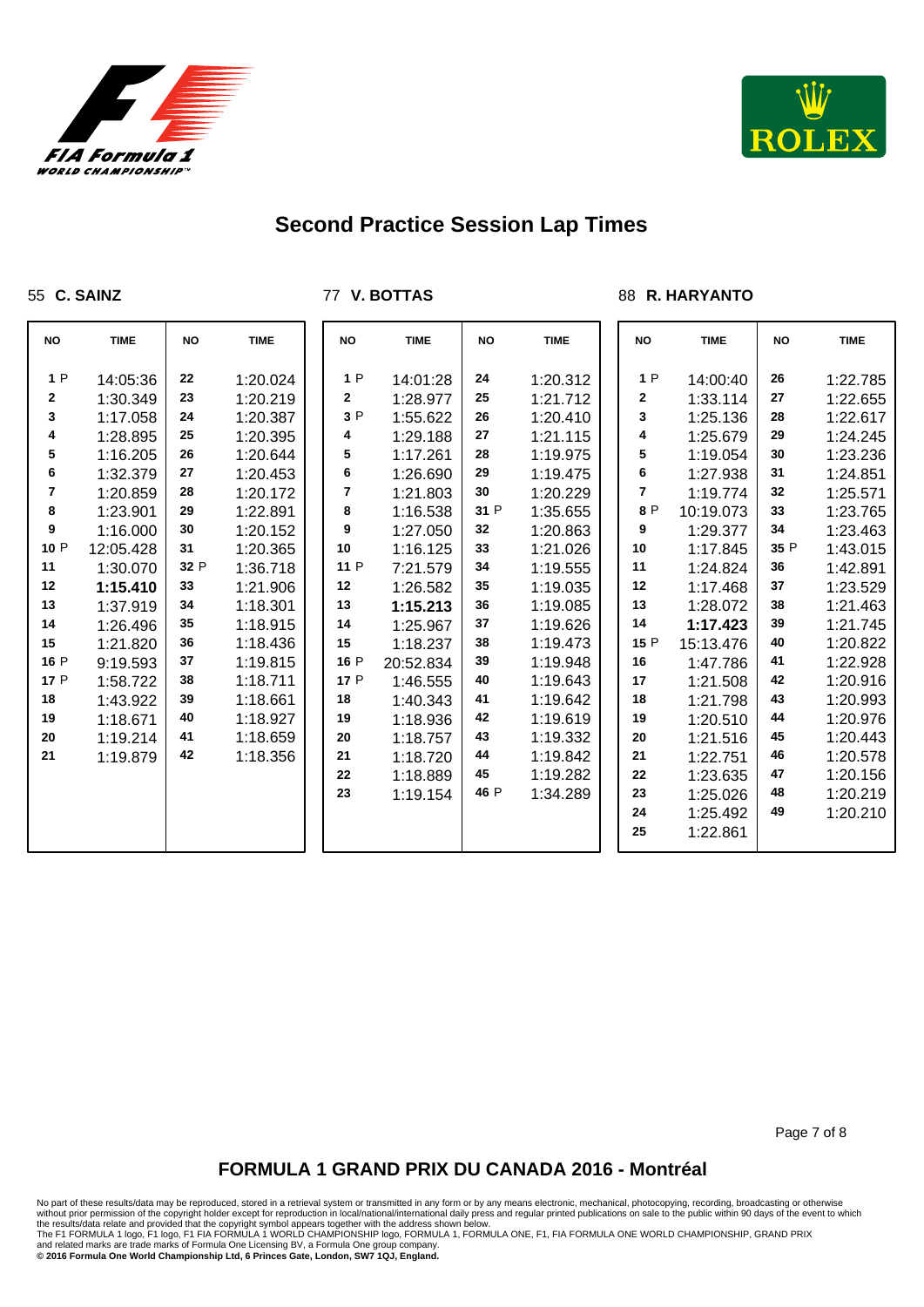



### **C. SAINZ**

**V. BOTTAS**

### **R. HARYANTO**

| <b>NO</b> | <b>TIME</b> | <b>NO</b> | <b>TIME</b> |    | <b>NO</b> | <b>TIME</b> | <b>NO</b> | <b>TIME</b> | <b>NO</b>      | <b>TIME</b> | <b>NO</b> | <b>TIME</b> |
|-----------|-------------|-----------|-------------|----|-----------|-------------|-----------|-------------|----------------|-------------|-----------|-------------|
| 1P        | 14:05:36    | 22        | 1:20.024    |    | 1P        | 14:01:28    | 24        | 1:20.312    | 1P             | 14:00:40    | 26        | 1:22.785    |
| 2         | 1:30.349    | 23        | 1:20.219    |    | 2         | 1:28.977    | 25        | 1:21.712    | 2              | 1:33.114    | 27        | 1:22.655    |
| 3         | 1:17.058    | 24        | 1:20.387    |    | 3P        | 1:55.622    | 26        | 1:20.410    | 3              | 1:25.136    | 28        | 1:22.617    |
| 4         | 1:28.895    | 25        | 1:20.395    |    | 4         | 1:29.188    | 27        | 1:21.115    | 4              | 1:25.679    | 29        | 1:24.245    |
| 5         | 1:16.205    | 26        | 1:20.644    |    | 5         | 1:17.261    | 28        | 1:19.975    | 5              | 1:19.054    | 30        | 1:23.236    |
| 6         | 1:32.379    | 27        | 1:20.453    |    | 6         | 1:26.690    | 29        | 1:19.475    | 6              | 1:27.938    | 31        | 1:24.851    |
| 7         | 1:20.859    | 28        | 1:20.172    |    | 7         | 1:21.803    | 30        | 1:20.229    | $\overline{7}$ | 1:19.774    | 32        | 1:25.571    |
| 8         | 1:23.901    | 29        | 1:22.891    |    | 8         | 1:16.538    | 31 P      | 1:35.655    | 8 P            | 10:19.073   | 33        | 1:23.765    |
| 9         | 1:16.000    | 30        | 1:20.152    |    | 9         | 1:27.050    | 32        | 1:20.863    | 9              | 1:29.377    | 34        | 1:23.463    |
| 10 P      | 12:05.428   | 31        | 1:20.365    | 10 |           | 1:16.125    | 33        | 1:21.026    | 10             | 1:17.845    | 35 P      | 1:43.015    |
| 11        | 1:30.070    | 32 P      | 1:36.718    |    | 11 P      | 7:21.579    | 34        | 1:19.555    | 11             | 1:24.824    | 36        | 1:42.891    |
| 12        | 1:15.410    | 33        | 1:21.906    | 12 |           | 1:26.582    | 35        | 1:19.035    | 12             | 1:17.468    | 37        | 1:23.529    |
| 13        | 1:37.919    | 34        | 1:18.301    | 13 |           | 1:15.213    | 36        | 1:19.085    | 13             | 1:28.072    | 38        | 1:21.463    |
| 14        | 1:26.496    | 35        | 1:18.915    | 14 |           | 1:25.967    | 37        | 1:19.626    | 14             | 1:17.423    | 39        | 1:21.745    |
| 15        | 1:21.820    | 36        | 1:18.436    | 15 |           | 1:18.237    | 38        | 1:19.473    | 15 P           | 15:13.476   | 40        | 1:20.822    |
| 16 P      | 9:19.593    | 37        | 1:19.815    |    | 16 P      | 20:52.834   | 39        | 1:19.948    | 16             | 1:47.786    | 41        | 1:22.928    |
| 17 P      | 1:58.722    | 38        | 1:18.711    |    | 17 P      | 1:46.555    | 40        | 1:19.643    | 17             | 1:21.508    | 42        | 1:20.916    |
| 18        | 1:43.922    | 39        | 1:18.661    | 18 |           | 1:40.343    | 41        | 1:19.642    | 18             | 1:21.798    | 43        | 1:20.993    |
| 19        | 1:18.671    | 40        | 1:18.927    | 19 |           | 1:18.936    | 42        | 1:19.619    | 19             | 1:20.510    | 44        | 1:20.976    |
| 20        | 1:19.214    | 41        | 1:18.659    | 20 |           | 1:18.757    | 43        | 1:19.332    | 20             | 1:21.516    | 45        | 1:20.443    |
| 21        | 1:19.879    | 42        | 1:18.356    | 21 |           | 1:18.720    | 44        | 1:19.842    | 21             | 1:22.751    | 46        | 1:20.578    |
|           |             |           |             | 22 |           | 1:18.889    | 45        | 1:19.282    | 22             | 1:23.635    | 47        | 1:20.156    |
|           |             |           |             | 23 |           | 1:19.154    | 46 P      | 1:34.289    | 23             | 1:25.026    | 48        | 1:20.219    |
|           |             |           |             |    |           |             |           |             | 24             | 1:25.492    | 49        | 1:20.210    |
|           |             |           |             |    |           |             |           |             | 25             | 1:22.861    |           |             |

Page 7 of 8

## **FORMULA 1 GRAND PRIX DU CANADA 2016 - Montréal**